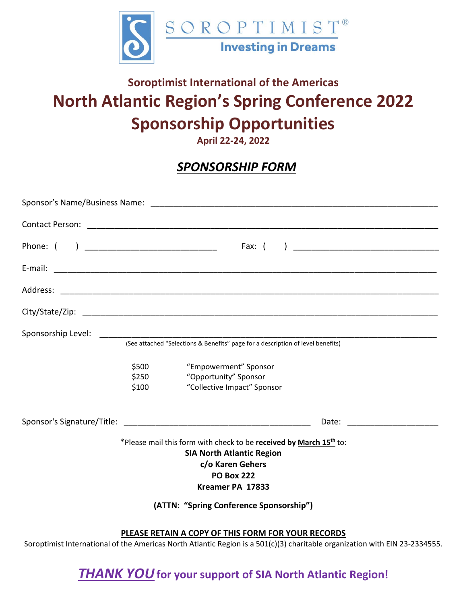

## **Soroptimist International of the Americas North Atlantic Region's Spring Conference 2022 Sponsorship Opportunities**

**April 22-24, 2022**

### *SPONSORSHIP FORM*

|                                                                                                                                                                                                                            |                         | (See attached "Selections & Benefits" page for a description of level benefits) |                                |
|----------------------------------------------------------------------------------------------------------------------------------------------------------------------------------------------------------------------------|-------------------------|---------------------------------------------------------------------------------|--------------------------------|
|                                                                                                                                                                                                                            | \$500<br>\$250<br>\$100 | "Empowerment" Sponsor<br>"Opportunity" Sponsor<br>"Collective Impact" Sponsor   |                                |
|                                                                                                                                                                                                                            |                         |                                                                                 | Date: ________________________ |
| *Please mail this form with check to be received by March 15 <sup>th</sup> to:<br><b>SIA North Atlantic Region</b><br>c/o Karen Gehers<br><b>PO Box 222</b><br>Kreamer PA 17833<br>(ATTN: "Spring Conference Sponsorship") |                         |                                                                                 |                                |
| PLEASE RETAIN A COPY OF THIS FORM FOR YOUR RECORDS                                                                                                                                                                         |                         |                                                                                 |                                |

Soroptimist International of the Americas North Atlantic Region is a 501(c)(3) charitable organization with EIN 23-2334555.

*THANK YOU***for your support of SIA North Atlantic Region!**